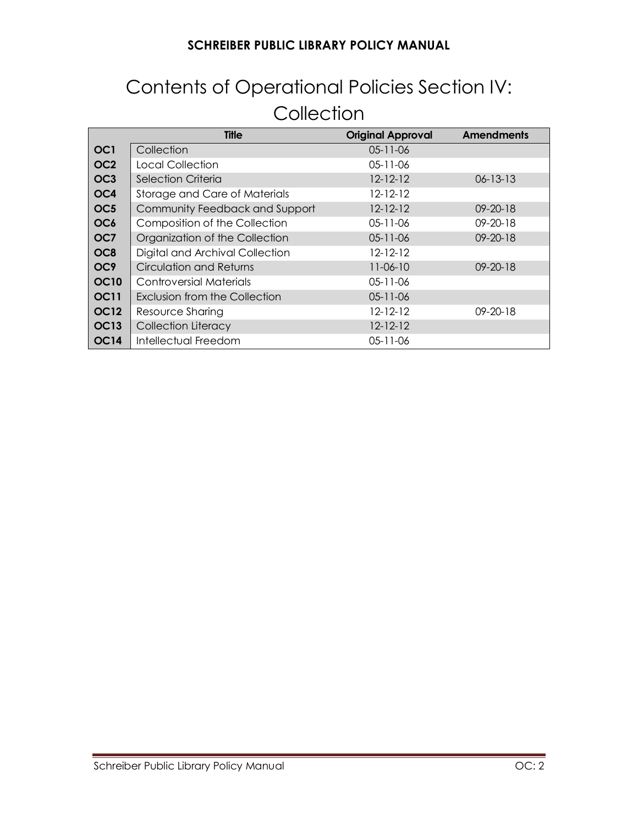# Contents of Operational Policies Section IV: **Collection**

|                  | <b>Title</b>                    | <b>Original Approval</b> | <b>Amendments</b> |
|------------------|---------------------------------|--------------------------|-------------------|
| OC <sub>1</sub>  | Collection                      | $05 - 11 - 06$           |                   |
| OC <sub>2</sub>  | Local Collection                | $05 - 11 - 06$           |                   |
| OC <sub>3</sub>  | <b>Selection Criteria</b>       | $12 - 12 - 12$           | $06 - 13 - 13$    |
| OC4              | Storage and Care of Materials   | 12-12-12                 |                   |
| OC <sub>5</sub>  | Community Feedback and Support  | $12 - 12 - 12$           | $09 - 20 - 18$    |
| OC <sub>6</sub>  | Composition of the Collection   | $05 - 11 - 06$           | $09 - 20 - 18$    |
| OC7              | Organization of the Collection  | $05 - 11 - 06$           | $09 - 20 - 18$    |
| OC <sub>8</sub>  | Digital and Archival Collection | 12-12-12                 |                   |
| OC <sub>9</sub>  | <b>Circulation and Returns</b>  | $11 - 06 - 10$           | $09 - 20 - 18$    |
| <b>OC10</b>      | Controversial Materials         | 05-11-06                 |                   |
| <b>OC11</b>      | Exclusion from the Collection   | $05 - 11 - 06$           |                   |
| <b>OC12</b>      | Resource Sharing                | $12 - 12 - 12$           | $09 - 20 - 18$    |
| OC <sub>13</sub> | Collection Literacy             | $12 - 12 - 12$           |                   |
| <b>OC14</b>      | Intellectual Freedom            | 05-11-06                 |                   |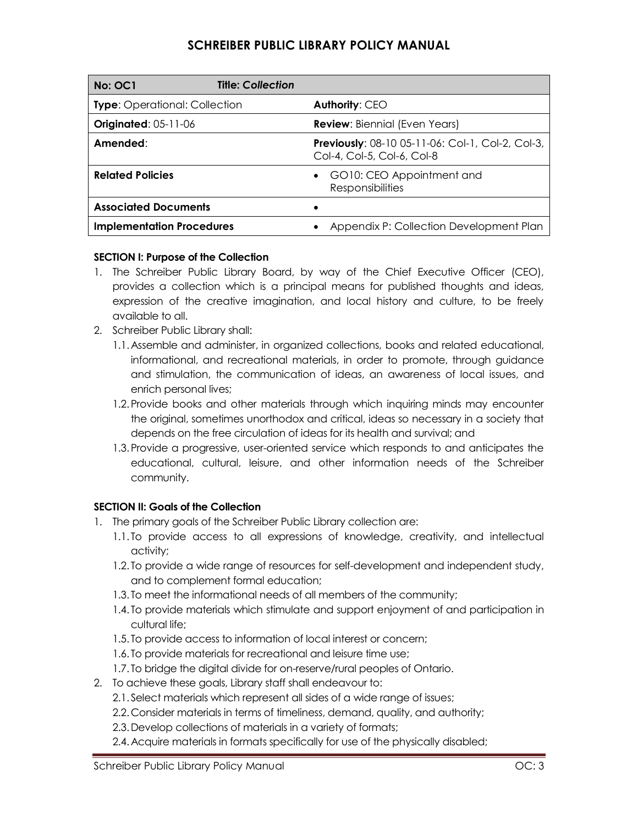| No: OC1                              | <b>Title: Collection</b> |                                                                                       |  |
|--------------------------------------|--------------------------|---------------------------------------------------------------------------------------|--|
| <b>Type:</b> Operational: Collection |                          | Authority: CEO                                                                        |  |
| <b>Originated: 05-11-06</b>          |                          | <b>Review: Biennial (Even Years)</b>                                                  |  |
| Amended:                             |                          | <b>Previously: 08-10 05-11-06: Col-1, Col-2, Col-3,</b><br>Col-4, Col-5, Col-6, Col-8 |  |
| <b>Related Policies</b>              |                          | GO10: CEO Appointment and<br>Responsibilities                                         |  |
| <b>Associated Documents</b>          |                          |                                                                                       |  |
| <b>Implementation Procedures</b>     |                          | Appendix P: Collection Development Plan                                               |  |

### **SECTION I: Purpose of the Collection**

- 1. The Schreiber Public Library Board, by way of the Chief Executive Officer (CEO), provides a collection which is a principal means for published thoughts and ideas, expression of the creative imagination, and local history and culture, to be freely available to all.
- 2. Schreiber Public Library shall:
	- 1.1.Assemble and administer, in organized collections, books and related educational, informational, and recreational materials, in order to promote, through guidance and stimulation, the communication of ideas, an awareness of local issues, and enrich personal lives;
	- 1.2.Provide books and other materials through which inquiring minds may encounter the original, sometimes unorthodox and critical, ideas so necessary in a society that depends on the free circulation of ideas for its health and survival; and
	- 1.3.Provide a progressive, user-oriented service which responds to and anticipates the educational, cultural, leisure, and other information needs of the Schreiber community.

### **SECTION II: Goals of the Collection**

- 1. The primary goals of the Schreiber Public Library collection are:
	- 1.1. To provide access to all expressions of knowledge, creativity, and intellectual activity;
	- 1.2. To provide a wide range of resources for self-development and independent study, and to complement formal education;
	- 1.3. To meet the informational needs of all members of the community;
	- 1.4. To provide materials which stimulate and support enjoyment of and participation in cultural life;
	- 1.5. To provide access to information of local interest or concern;
	- 1.6. To provide materials for recreational and leisure time use;
	- 1.7. To bridge the digital divide for on-reserve/rural peoples of Ontario.
- 2. To achieve these goals, Library staff shall endeavour to:
	- 2.1. Select materials which represent all sides of a wide range of issues;
	- 2.2.Consider materials in terms of timeliness, demand, quality, and authority;
	- 2.3.Develop collections of materials in a variety of formats;
	- 2.4.Acquire materials in formats specifically for use of the physically disabled;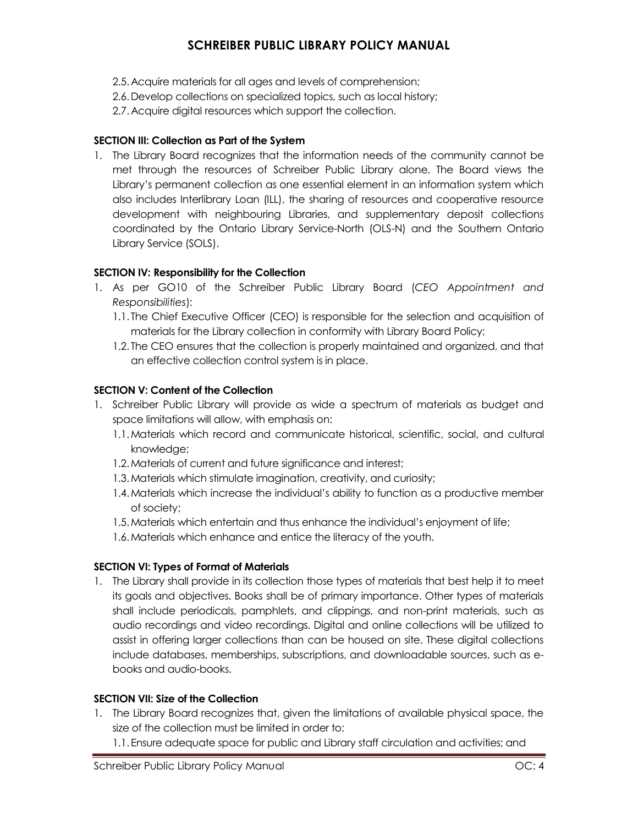- 2.5.Acquire materials for all ages and levels of comprehension;
- 2.6.Develop collections on specialized topics, such as local history;
- 2.7.Acquire digital resources which support the collection.

#### **SECTION III: Collection as Part of the System**

1. The Library Board recognizes that the information needs of the community cannot be met through the resources of Schreiber Public Library alone. The Board views the Library's permanent collection as one essential element in an information system which also includes Interlibrary Loan (ILL), the sharing of resources and cooperative resource development with neighbouring Libraries, and supplementary deposit collections coordinated by the Ontario Library Service-North (OLS-N) and the Southern Ontario Library Service (SOLS).

#### **SECTION IV: Responsibility for the Collection**

- 1. As per GO10 of the Schreiber Public Library Board (*CEO Appointment and Responsibilities*):
	- 1.1. The Chief Executive Officer (CEO) is responsible for the selection and acquisition of materials for the Library collection in conformity with Library Board Policy;
	- 1.2. The CEO ensures that the collection is properly maintained and organized, and that an effective collection control system is in place.

#### **SECTION V: Content of the Collection**

- 1. Schreiber Public Library will provide as wide a spectrum of materials as budget and space limitations will allow, with emphasis on:
	- 1.1.Materials which record and communicate historical, scientific, social, and cultural knowledge;
	- 1.2.Materials of current and future significance and interest;
	- 1.3.Materials which stimulate imagination, creativity, and curiosity;
	- 1.4.Materials which increase the individual's ability to function as a productive member of society;
	- 1.5.Materials which entertain and thus enhance the individual's enjoyment of life;
	- 1.6.Materials which enhance and entice the literacy of the youth.

### **SECTION VI: Types of Format of Materials**

1. The Library shall provide in its collection those types of materials that best help it to meet its goals and objectives. Books shall be of primary importance. Other types of materials shall include periodicals, pamphlets, and clippings, and non-print materials, such as audio recordings and video recordings. Digital and online collections will be utilized to assist in offering larger collections than can be housed on site. These digital collections include databases, memberships, subscriptions, and downloadable sources, such as ebooks and audio-books.

#### **SECTION VII: Size of the Collection**

- 1. The Library Board recognizes that, given the limitations of available physical space, the size of the collection must be limited in order to:
	- 1.1.Ensure adequate space for public and Library staff circulation and activities; and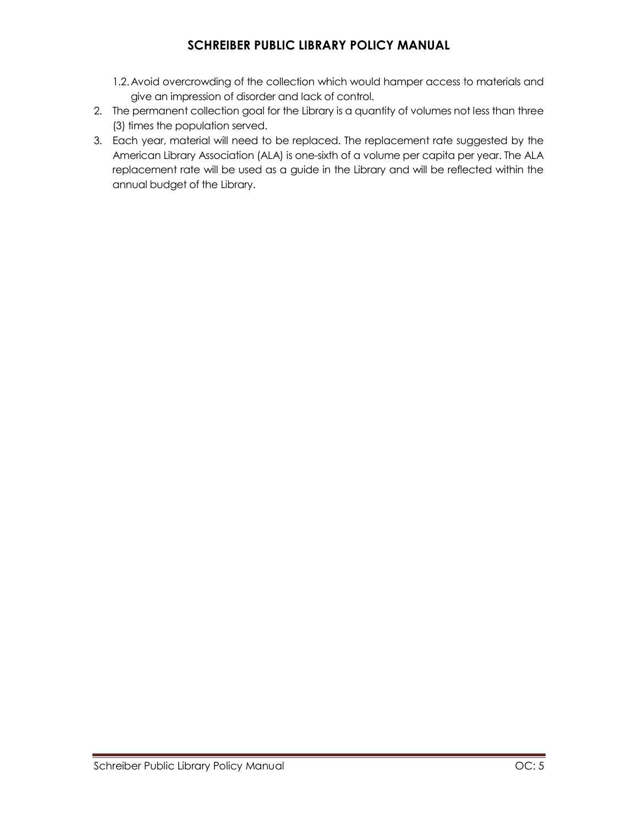- 1.2.Avoid overcrowding of the collection which would hamper access to materials and give an impression of disorder and lack of control.
- 2. The permanent collection goal for the Library is a quantity of volumes not less than three (3) times the population served.
- 3. Each year, material will need to be replaced. The replacement rate suggested by the American Library Association (ALA) is one-sixth of a volume per capita per year. The ALA replacement rate will be used as a guide in the Library and will be reflected within the annual budget of the Library.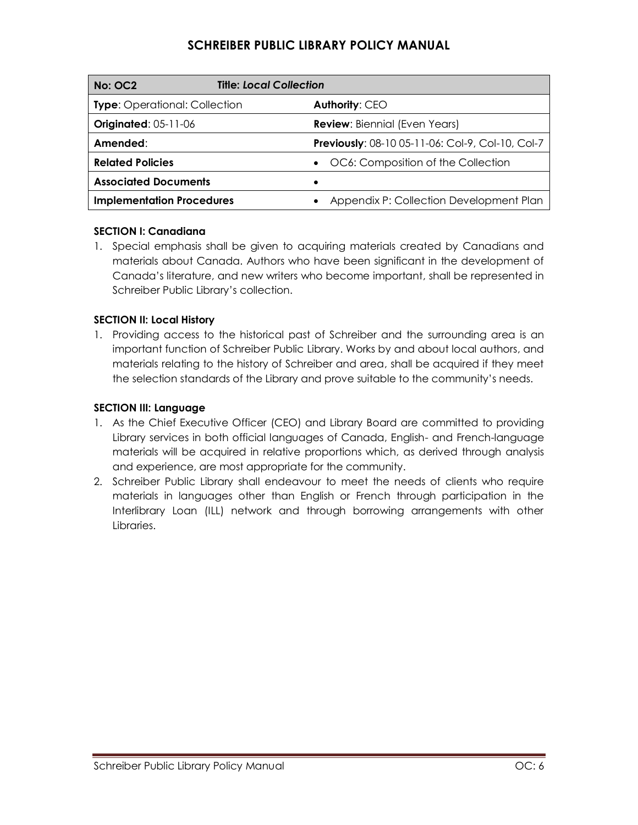| No: OC2                              | <b>Title: Local Collection</b> |   |                                                  |
|--------------------------------------|--------------------------------|---|--------------------------------------------------|
| <b>Type:</b> Operational: Collection |                                |   | Authority: CEO                                   |
| <b>Originated: 05-11-06</b>          |                                |   | <b>Review:</b> Biennial (Even Years)             |
| Amended:                             |                                |   | Previously: 08-10 05-11-06: Col-9, Col-10, Col-7 |
| <b>Related Policies</b>              |                                |   | OC6: Composition of the Collection               |
| <b>Associated Documents</b>          |                                | ٠ |                                                  |
| <b>Implementation Procedures</b>     |                                |   | Appendix P: Collection Development Plan          |

### **SECTION I: Canadiana**

1. Special emphasis shall be given to acquiring materials created by Canadians and materials about Canada. Authors who have been significant in the development of Canada's literature, and new writers who become important, shall be represented in Schreiber Public Library's collection.

### **SECTION II: Local History**

1. Providing access to the historical past of Schreiber and the surrounding area is an important function of Schreiber Public Library. Works by and about local authors, and materials relating to the history of Schreiber and area, shall be acquired if they meet the selection standards of the Library and prove suitable to the community's needs.

### **SECTION III: Language**

- 1. As the Chief Executive Officer (CEO) and Library Board are committed to providing Library services in both official languages of Canada, English- and French-language materials will be acquired in relative proportions which, as derived through analysis and experience, are most appropriate for the community.
- 2. Schreiber Public Library shall endeavour to meet the needs of clients who require materials in languages other than English or French through participation in the Interlibrary Loan (ILL) network and through borrowing arrangements with other Libraries.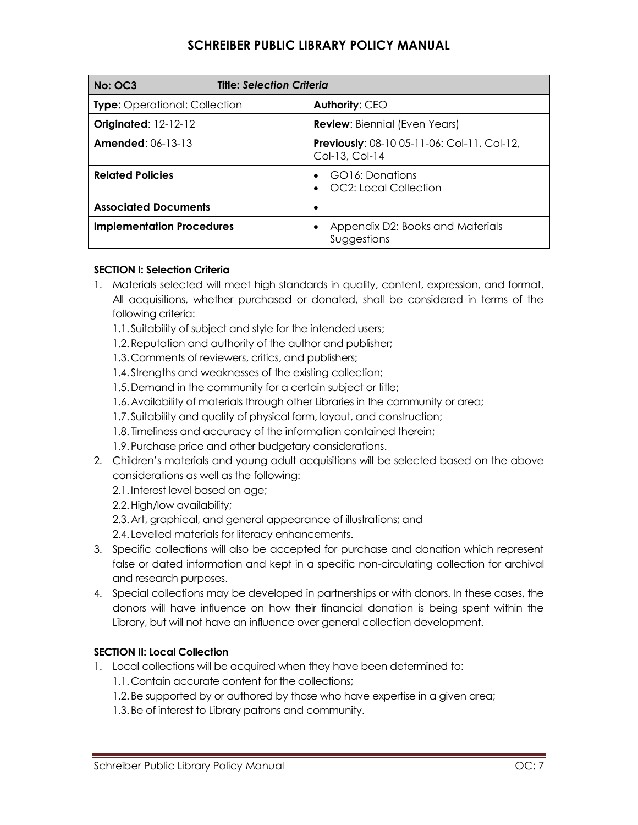| No: OC3                              | <b>Title: Selection Criteria</b>                                     |  |  |
|--------------------------------------|----------------------------------------------------------------------|--|--|
| <b>Type:</b> Operational: Collection | Authority: CEO                                                       |  |  |
| <b>Originated: 12-12-12</b>          | <b>Review:</b> Biennial (Even Years)                                 |  |  |
| <b>Amended: 06-13-13</b>             | <b>Previously: 08-10 05-11-06: Col-11, Col-12,</b><br>Col-13, Col-14 |  |  |
| <b>Related Policies</b>              | GO16: Donations<br>OC2: Local Collection                             |  |  |
| <b>Associated Documents</b>          |                                                                      |  |  |
| <b>Implementation Procedures</b>     | Appendix D2: Books and Materials<br>Suggestions                      |  |  |

### **SECTION I: Selection Criteria**

- 1. Materials selected will meet high standards in quality, content, expression, and format. All acquisitions, whether purchased or donated, shall be considered in terms of the following criteria:
	- 1.1. Suitability of subject and style for the intended users;
	- 1.2.Reputation and authority of the author and publisher;
	- 1.3.Comments of reviewers, critics, and publishers;
	- 1.4. Strengths and weaknesses of the existing collection;
	- 1.5.Demand in the community for a certain subject or title;
	- 1.6.Availability of materials through other Libraries in the community or area;
	- 1.7. Suitability and quality of physical form, layout, and construction;
	- 1.8. Timeliness and accuracy of the information contained therein;
	- 1.9.Purchase price and other budgetary considerations.
- 2. Children's materials and young adult acquisitions will be selected based on the above considerations as well as the following:
	- 2.1.Interest level based on age;
	- 2.2.High/low availability;
	- 2.3.Art, graphical, and general appearance of illustrations; and
	- 2.4. Levelled materials for literacy enhancements.
- 3. Specific collections will also be accepted for purchase and donation which represent false or dated information and kept in a specific non-circulating collection for archival and research purposes.
- 4. Special collections may be developed in partnerships or with donors. In these cases, the donors will have influence on how their financial donation is being spent within the Library, but will not have an influence over general collection development.

### **SECTION II: Local Collection**

- 1. Local collections will be acquired when they have been determined to:
	- 1.1.Contain accurate content for the collections;
	- 1.2.Be supported by or authored by those who have expertise in a given area;
	- 1.3.Be of interest to Library patrons and community.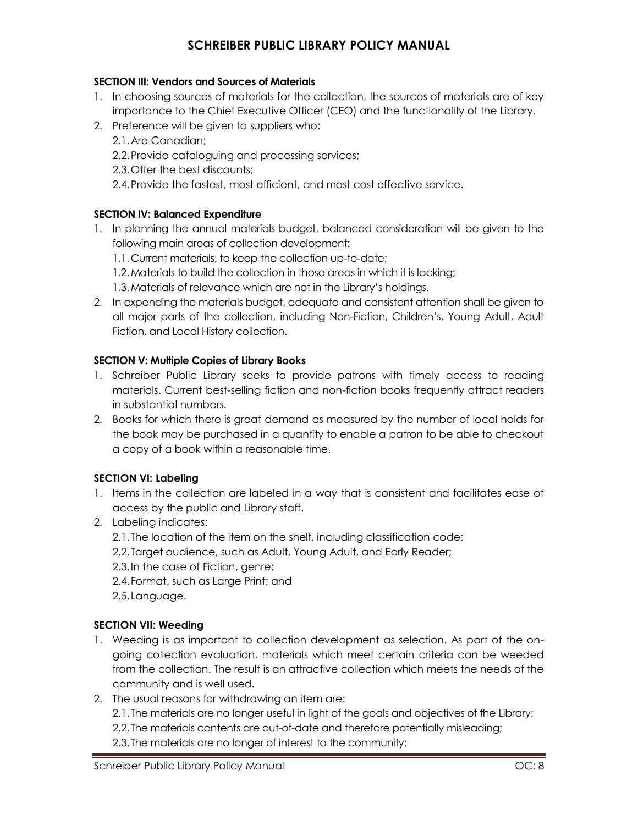### **SECTION III: Vendors and Sources of Materials**

- 1. In choosing sources of materials for the collection, the sources of materials are of key importance to the Chief Executive Officer (CEO) and the functionality of the Library.
- 2. Preference will be given to suppliers who:
	- 2.1.Are Canadian;
	- 2.2.Provide cataloguing and processing services;
	- 2.3.Offer the best discounts;
	- 2.4.Provide the fastest, most efficient, and most cost effective service.

### **SECTION IV: Balanced Expenditure**

- 1. In planning the annual materials budget, balanced consideration will be given to the following main areas of collection development:
	- 1.1.Current materials, to keep the collection up-to-date;
	- 1.2.Materials to build the collection in those areas in which it is lacking;
	- 1.3.Materials of relevance which are not in the Library's holdings.
- 2. In expending the materials budget, adequate and consistent attention shall be given to all major parts of the collection, including Non-Fiction, Children's, Young Adult, Adult Fiction, and Local History collection.

#### **SECTION V: Multiple Copies of Library Books**

- 1. Schreiber Public Library seeks to provide patrons with timely access to reading materials. Current best-selling fiction and non-fiction books frequently attract readers in substantial numbers.
- 2. Books for which there is great demand as measured by the number of local holds for the book may be purchased in a quantity to enable a patron to be able to checkout a copy of a book within a reasonable time.

### **SECTION VI: Labeling**

- 1. Items in the collection are labeled in a way that is consistent and facilitates ease of access by the public and Library staff.
- 2. Labeling indicates:
	- 2.1.The location of the item on the shelf, including classification code;
	- 2.2.Target audience, such as Adult, Young Adult, and Early Reader;
	- 2.3.In the case of Fiction, genre;
	- 2.4.Format, such as Large Print; and
	- 2.5.Language.

### **SECTION VII: Weeding**

- 1. Weeding is as important to collection development as selection. As part of the ongoing collection evaluation, materials which meet certain criteria can be weeded from the collection. The result is an attractive collection which meets the needs of the community and is well used.
- 2. The usual reasons for withdrawing an item are: 2.1.The materials are no longer useful in light of the goals and objectives of the Library; 2.2.The materials contents are out-of-date and therefore potentially misleading; 2.3.The materials are no longer of interest to the community;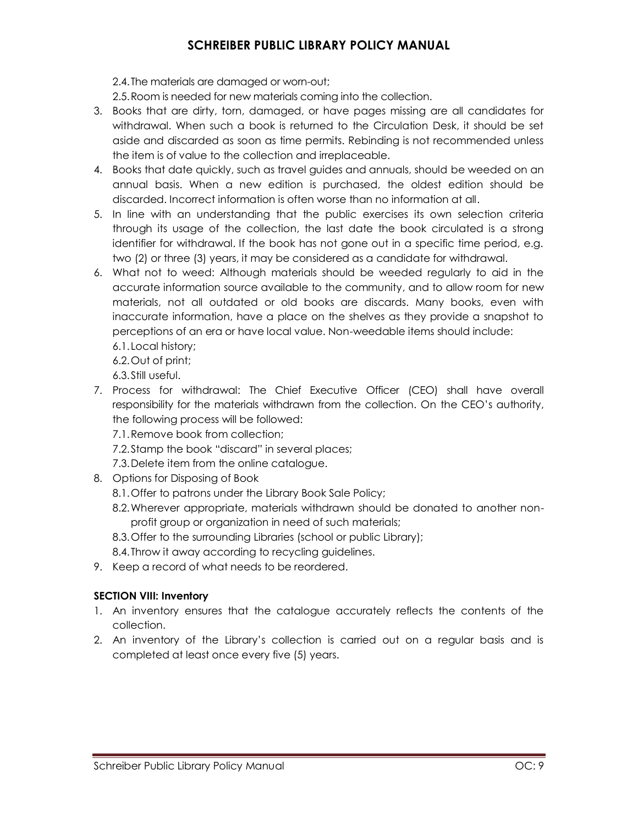2.4.The materials are damaged or worn-out;

2.5.Room is needed for new materials coming into the collection.

- 3. Books that are dirty, torn, damaged, or have pages missing are all candidates for withdrawal. When such a book is returned to the Circulation Desk, it should be set aside and discarded as soon as time permits. Rebinding is not recommended unless the item is of value to the collection and irreplaceable.
- 4. Books that date quickly, such as travel guides and annuals, should be weeded on an annual basis. When a new edition is purchased, the oldest edition should be discarded. Incorrect information is often worse than no information at all.
- 5. In line with an understanding that the public exercises its own selection criteria through its usage of the collection, the last date the book circulated is a strong identifier for withdrawal. If the book has not gone out in a specific time period, e.g. two (2) or three (3) years, it may be considered as a candidate for withdrawal.
- 6. What not to weed: Although materials should be weeded regularly to aid in the accurate information source available to the community, and to allow room for new materials, not all outdated or old books are discards. Many books, even with inaccurate information, have a place on the shelves as they provide a snapshot to perceptions of an era or have local value. Non-weedable items should include:
	- 6.1.Local history;
	- 6.2.Out of print;
	- 6.3.Still useful.
- 7. Process for withdrawal: The Chief Executive Officer (CEO) shall have overall responsibility for the materials withdrawn from the collection. On the CEO's authority, the following process will be followed:
	- 7.1.Remove book from collection;
	- 7.2.Stamp the book "discard" in several places;
	- 7.3.Delete item from the online catalogue.
- 8. Options for Disposing of Book
	- 8.1.Offer to patrons under the Library Book Sale Policy;
	- 8.2.Wherever appropriate, materials withdrawn should be donated to another nonprofit group or organization in need of such materials;
	- 8.3.Offer to the surrounding Libraries (school or public Library);
	- 8.4.Throw it away according to recycling guidelines.
- 9. Keep a record of what needs to be reordered.

### **SECTION VIII: Inventory**

- 1. An inventory ensures that the catalogue accurately reflects the contents of the collection.
- 2. An inventory of the Library's collection is carried out on a regular basis and is completed at least once every five (5) years.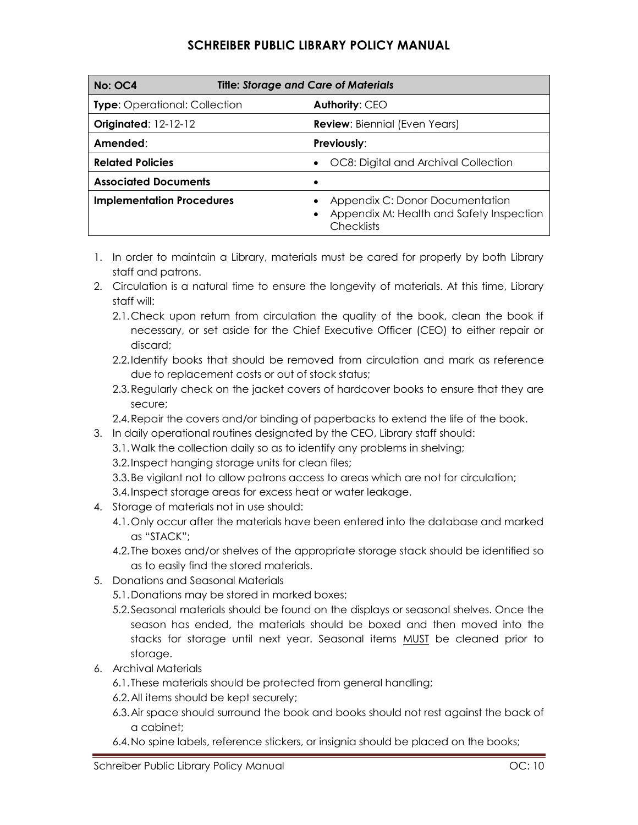| <b>Title: Storage and Care of Materials</b><br><b>No: OC4</b> |                                                                                                  |  |
|---------------------------------------------------------------|--------------------------------------------------------------------------------------------------|--|
| <b>Type:</b> Operational: Collection                          | Authority: CEO                                                                                   |  |
| <b>Originated: 12-12-12</b>                                   | <b>Review: Biennial (Even Years)</b>                                                             |  |
| Amended:                                                      | Previously:                                                                                      |  |
| <b>Related Policies</b>                                       | OC8: Digital and Archival Collection                                                             |  |
| <b>Associated Documents</b>                                   |                                                                                                  |  |
| <b>Implementation Procedures</b>                              | Appendix C: Donor Documentation<br>Appendix M: Health and Safety Inspection<br><b>Checklists</b> |  |

- 1. In order to maintain a Library, materials must be cared for properly by both Library staff and patrons.
- 2. Circulation is a natural time to ensure the longevity of materials. At this time, Library staff will:
	- 2.1.Check upon return from circulation the quality of the book, clean the book if necessary, or set aside for the Chief Executive Officer (CEO) to either repair or discard;
	- 2.2.Identify books that should be removed from circulation and mark as reference due to replacement costs or out of stock status;
	- 2.3.Regularly check on the jacket covers of hardcover books to ensure that they are secure;
	- 2.4.Repair the covers and/or binding of paperbacks to extend the life of the book.
- 3. In daily operational routines designated by the CEO, Library staff should:
	- 3.1.Walk the collection daily so as to identify any problems in shelving;
	- 3.2.Inspect hanging storage units for clean files;
	- 3.3.Be vigilant not to allow patrons access to areas which are not for circulation;
	- 3.4.Inspect storage areas for excess heat or water leakage.
- 4. Storage of materials not in use should:
	- 4.1.Only occur after the materials have been entered into the database and marked as "STACK";
	- 4.2.The boxes and/or shelves of the appropriate storage stack should be identified so as to easily find the stored materials.
- 5. Donations and Seasonal Materials
	- 5.1.Donations may be stored in marked boxes;
	- 5.2.Seasonal materials should be found on the displays or seasonal shelves. Once the season has ended, the materials should be boxed and then moved into the stacks for storage until next year. Seasonal items **MUST** be cleaned prior to storage.
- 6. Archival Materials
	- 6.1.These materials should be protected from general handling;
	- 6.2.All items should be kept securely;
	- 6.3.Air space should surround the book and books should not rest against the back of a cabinet;
	- 6.4.No spine labels, reference stickers, or insignia should be placed on the books;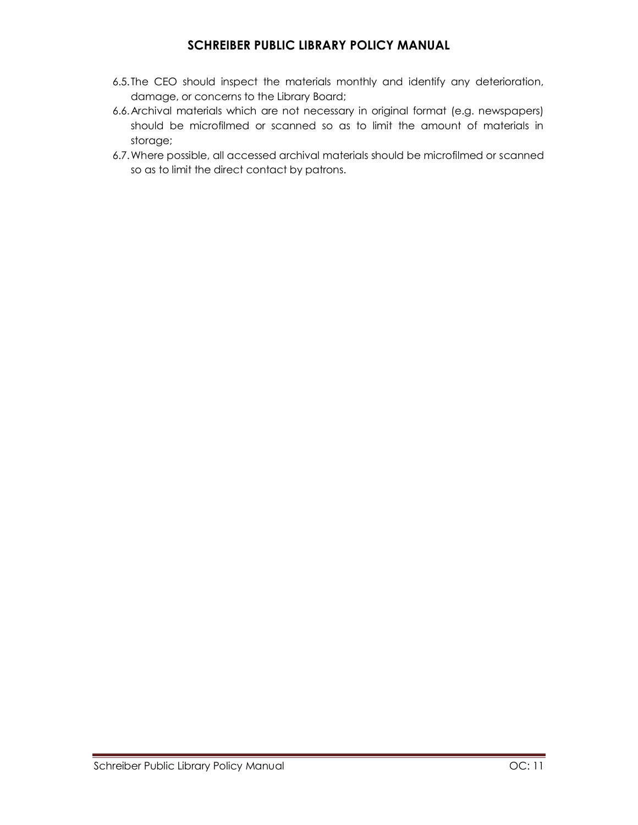- 6.5.The CEO should inspect the materials monthly and identify any deterioration, damage, or concerns to the Library Board;
- 6.6.Archival materials which are not necessary in original format (e.g. newspapers) should be microfilmed or scanned so as to limit the amount of materials in storage;
- 6.7.Where possible, all accessed archival materials should be microfilmed or scanned so as to limit the direct contact by patrons.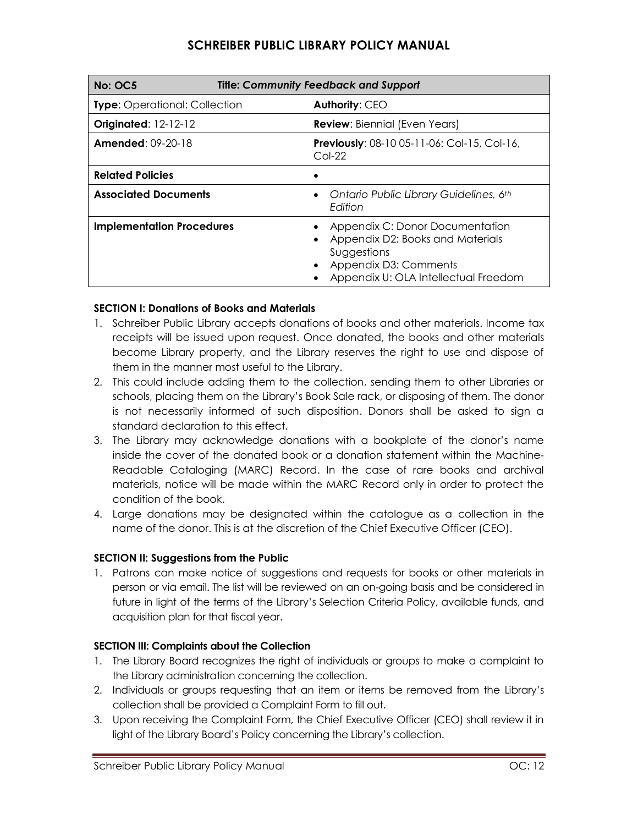| <b>Title: Community Feedback and Support</b><br><b>No: OC5</b> |                                                                                                                                                     |  |
|----------------------------------------------------------------|-----------------------------------------------------------------------------------------------------------------------------------------------------|--|
| <b>Type:</b> Operational: Collection                           | <b>Authority: CEO</b>                                                                                                                               |  |
| Originated: 12-12-12                                           | <b>Review:</b> Biennial (Even Years)                                                                                                                |  |
| <b>Amended:</b> $09-20-18$                                     | <b>Previously: 08-10 05-11-06: Col-15, Col-16,</b><br>$Col-22$                                                                                      |  |
| <b>Related Policies</b>                                        |                                                                                                                                                     |  |
| <b>Associated Documents</b>                                    | Ontario Public Library Guidelines, 6th<br>Edition                                                                                                   |  |
| <b>Implementation Procedures</b>                               | Appendix C: Donor Documentation<br>Appendix D2: Books and Materials<br>Suggestions<br>Appendix D3: Comments<br>Appendix U: OLA Intellectual Freedom |  |

### **SECTION I: Donations of Books and Materials**

- 1. Schreiber Public Library accepts donations of books and other materials. Income tax receipts will be issued upon request. Once donated, the books and other materials become Library property, and the Library reserves the right to use and dispose of them in the manner most useful to the Library.
- 2. This could include adding them to the collection, sending them to other Libraries or schools, placing them on the Library's Book Sale rack, or disposing of them. The donor is not necessarily informed of such disposition. Donors shall be asked to sign a standard declaration to this effect.
- 3. The Library may acknowledge donations with a bookplate of the donor's name inside the cover of the donated book or a donation statement within the Machine-Readable Cataloging (MARC) Record. In the case of rare books and archival materials, notice will be made within the MARC Record only in order to protect the condition of the book.
- 4. Large donations may be designated within the catalogue as a collection in the name of the donor. This is at the discretion of the Chief Executive Officer (CEO).

### **SECTION II: Suggestions from the Public**

1. Patrons can make notice of suggestions and requests for books or other materials in person or via email. The list will be reviewed on an on-going basis and be considered in future in light of the terms of the Library's Selection Criteria Policy, available funds, and acquisition plan for that fiscal year.

### **SECTION III: Complaints about the Collection**

- 1. The Library Board recognizes the right of individuals or groups to make a complaint to the Library administration concerning the collection.
- 2. Individuals or groups requesting that an item or items be removed from the Library's collection shall be provided a Complaint Form to fill out.
- 3. Upon receiving the Complaint Form, the Chief Executive Officer (CEO) shall review it in light of the Library Board's Policy concerning the Library's collection.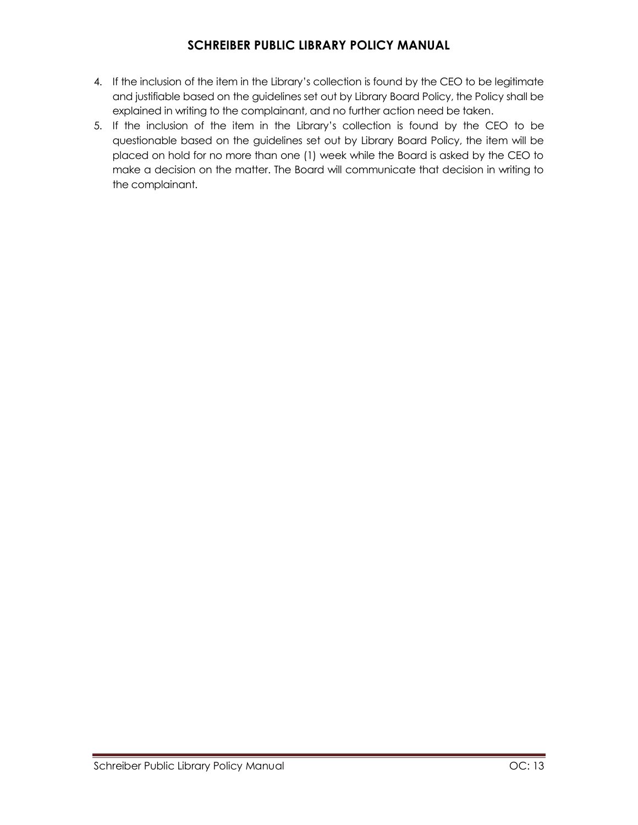- 4. If the inclusion of the item in the Library's collection is found by the CEO to be legitimate and justifiable based on the guidelines set out by Library Board Policy, the Policy shall be explained in writing to the complainant, and no further action need be taken.
- 5. If the inclusion of the item in the Library's collection is found by the CEO to be questionable based on the guidelines set out by Library Board Policy, the item will be placed on hold for no more than one (1) week while the Board is asked by the CEO to make a decision on the matter. The Board will communicate that decision in writing to the complainant.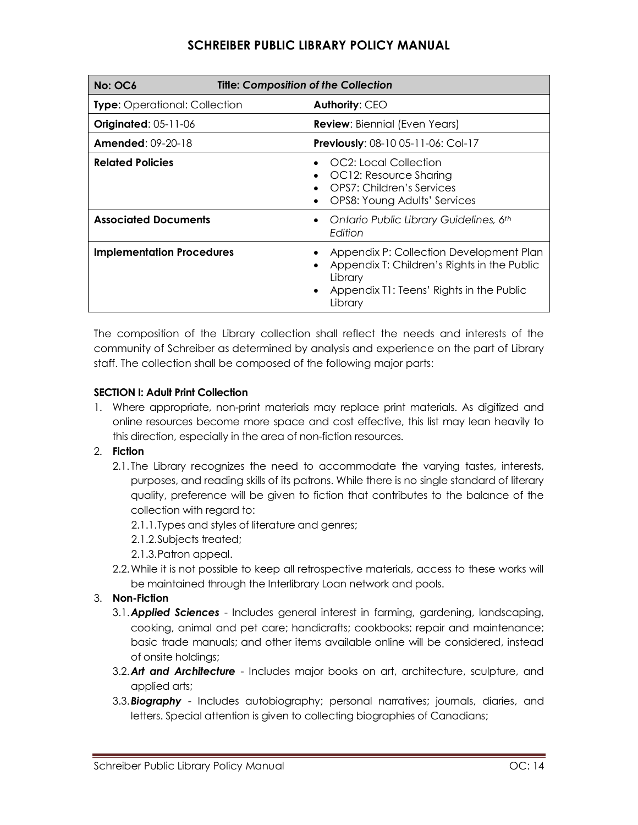| No: OC6                              | <b>Title: Composition of the Collection</b> |                                                                                                                                                                       |  |
|--------------------------------------|---------------------------------------------|-----------------------------------------------------------------------------------------------------------------------------------------------------------------------|--|
| <b>Type:</b> Operational: Collection |                                             | Authority: CEO                                                                                                                                                        |  |
| <b>Originated: 05-11-06</b>          |                                             | <b>Review:</b> Biennial (Even Years)                                                                                                                                  |  |
| <b>Amended: 09-20-18</b>             |                                             | Previously: 08-10 05-11-06: Col-17                                                                                                                                    |  |
| <b>Related Policies</b>              |                                             | OC2: Local Collection<br>OC12: Resource Sharing<br>OPS7: Children's Services<br>OPS8: Young Adults' Services                                                          |  |
| <b>Associated Documents</b>          |                                             | Ontario Public Library Guidelines, 6th<br>$\bullet$<br>Edition                                                                                                        |  |
| <b>Implementation Procedures</b>     |                                             | Appendix P: Collection Development Plan<br>Appendix T: Children's Rights in the Public<br>Library<br>Appendix T1: Teens' Rights in the Public<br>$\bullet$<br>Library |  |

The composition of the Library collection shall reflect the needs and interests of the community of Schreiber as determined by analysis and experience on the part of Library staff. The collection shall be composed of the following major parts:

### **SECTION I: Adult Print Collection**

- 1. Where appropriate, non-print materials may replace print materials. As digitized and online resources become more space and cost effective, this list may lean heavily to this direction, especially in the area of non-fiction resources.
- 2. **Fiction**
	- 2.1. The Library recognizes the need to accommodate the varying tastes, interests, purposes, and reading skills of its patrons. While there is no single standard of literary quality, preference will be given to fiction that contributes to the balance of the collection with regard to:
		- 2.1.1.Types and styles of literature and genres;
		- 2.1.2.Subjects treated;
		- 2.1.3.Patron appeal.
	- 2.2.While it is not possible to keep all retrospective materials, access to these works will be maintained through the Interlibrary Loan network and pools.

### 3. **Non-Fiction**

- 3.1.*Applied Sciences* Includes general interest in farming, gardening, landscaping, cooking, animal and pet care; handicrafts; cookbooks; repair and maintenance; basic trade manuals; and other items available online will be considered, instead of onsite holdings;
- 3.2.*Art and Architecture* Includes major books on art, architecture, sculpture, and applied arts;
- 3.3.*Biography* Includes autobiography; personal narratives; journals, diaries, and letters. Special attention is given to collecting biographies of Canadians;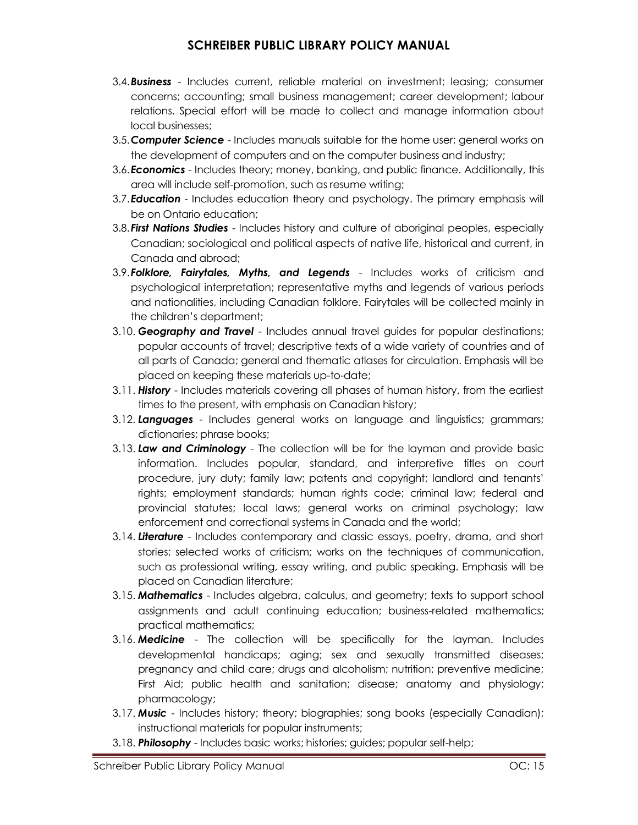- 3.4.*Business* Includes current, reliable material on investment; leasing; consumer concerns; accounting; small business management; career development; labour relations. Special effort will be made to collect and manage information about local businesses;
- 3.5.*Computer Science*  Includes manuals suitable for the home user; general works on the development of computers and on the computer business and industry;
- 3.6.*Economics* Includes theory; money, banking, and public finance. Additionally, this area will include self-promotion, such as resume writing;
- 3.7.*Education* Includes education theory and psychology. The primary emphasis will be on Ontario education;
- 3.8.*First Nations Studies*  Includes history and culture of aboriginal peoples, especially Canadian; sociological and political aspects of native life, historical and current, in Canada and abroad;
- 3.9.*Folklore, Fairytales, Myths, and Legends* Includes works of criticism and psychological interpretation; representative myths and legends of various periods and nationalities, including Canadian folklore. Fairytales will be collected mainly in the children's department;
- 3.10. *Geography and Travel*  Includes annual travel guides for popular destinations; popular accounts of travel; descriptive texts of a wide variety of countries and of all parts of Canada; general and thematic atlases for circulation. Emphasis will be placed on keeping these materials up-to-date;
- 3.11. *History* Includes materials covering all phases of human history, from the earliest times to the present, with emphasis on Canadian history;
- 3.12. *Languages* Includes general works on language and linguistics; grammars; dictionaries; phrase books;
- 3.13. *Law and Criminology* The collection will be for the layman and provide basic information. Includes popular, standard, and interpretive titles on court procedure, jury duty; family law; patents and copyright; landlord and tenants' rights; employment standards; human rights code; criminal law; federal and provincial statutes; local laws; general works on criminal psychology; law enforcement and correctional systems in Canada and the world;
- 3.14. *Literature* Includes contemporary and classic essays, poetry, drama, and short stories; selected works of criticism; works on the techniques of communication, such as professional writing, essay writing, and public speaking. Emphasis will be placed on Canadian literature;
- 3.15. *Mathematics* Includes algebra, calculus, and geometry; texts to support school assignments and adult continuing education; business-related mathematics; practical mathematics;
- 3.16. *Medicine* The collection will be specifically for the layman. Includes developmental handicaps; aging; sex and sexually transmitted diseases; pregnancy and child care; drugs and alcoholism; nutrition; preventive medicine; First Aid; public health and sanitation; disease; anatomy and physiology; pharmacology;
- 3.17. *Music* Includes history; theory; biographies; song books (especially Canadian); instructional materials for popular instruments;
- 3.18. *Philosophy* Includes basic works; histories; guides; popular self-help;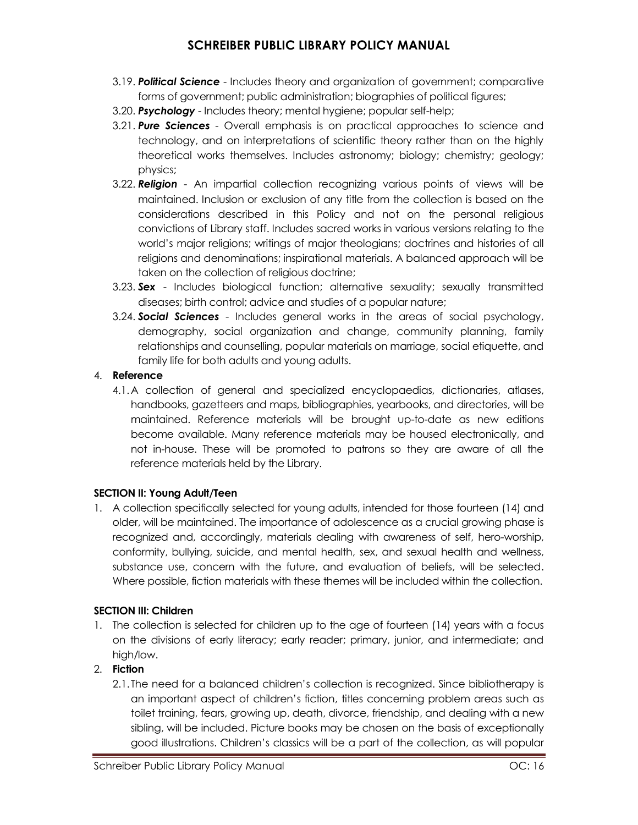- 3.19. *Political Science* Includes theory and organization of government; comparative forms of government; public administration; biographies of political figures;
- 3.20. *Psychology* Includes theory; mental hygiene; popular self-help;
- 3.21. *Pure Sciences* Overall emphasis is on practical approaches to science and technology, and on interpretations of scientific theory rather than on the highly theoretical works themselves. Includes astronomy; biology; chemistry; geology; physics;
- 3.22. *Religion* An impartial collection recognizing various points of views will be maintained. Inclusion or exclusion of any title from the collection is based on the considerations described in this Policy and not on the personal religious convictions of Library staff. Includes sacred works in various versions relating to the world's major religions; writings of major theologians; doctrines and histories of all religions and denominations; inspirational materials. A balanced approach will be taken on the collection of religious doctrine;
- 3.23. *Sex* Includes biological function; alternative sexuality; sexually transmitted diseases; birth control; advice and studies of a popular nature;
- 3.24. *Social Sciences* Includes general works in the areas of social psychology, demography, social organization and change, community planning, family relationships and counselling, popular materials on marriage, social etiquette, and family life for both adults and young adults.

### 4. **Reference**

4.1.A collection of general and specialized encyclopaedias, dictionaries, atlases, handbooks, gazetteers and maps, bibliographies, yearbooks, and directories, will be maintained. Reference materials will be brought up-to-date as new editions become available. Many reference materials may be housed electronically, and not in-house. These will be promoted to patrons so they are aware of all the reference materials held by the Library.

### **SECTION II: Young Adult/Teen**

1. A collection specifically selected for young adults, intended for those fourteen (14) and older, will be maintained. The importance of adolescence as a crucial growing phase is recognized and, accordingly, materials dealing with awareness of self, hero-worship, conformity, bullying, suicide, and mental health, sex, and sexual health and wellness, substance use, concern with the future, and evaluation of beliefs, will be selected. Where possible, fiction materials with these themes will be included within the collection.

### **SECTION III: Children**

1. The collection is selected for children up to the age of fourteen (14) years with a focus on the divisions of early literacy; early reader; primary, junior, and intermediate; and high/low.

### 2. **Fiction**

2.1.The need for a balanced children's collection is recognized. Since bibliotherapy is an important aspect of children's fiction, titles concerning problem areas such as toilet training, fears, growing up, death, divorce, friendship, and dealing with a new sibling, will be included. Picture books may be chosen on the basis of exceptionally good illustrations. Children's classics will be a part of the collection, as will popular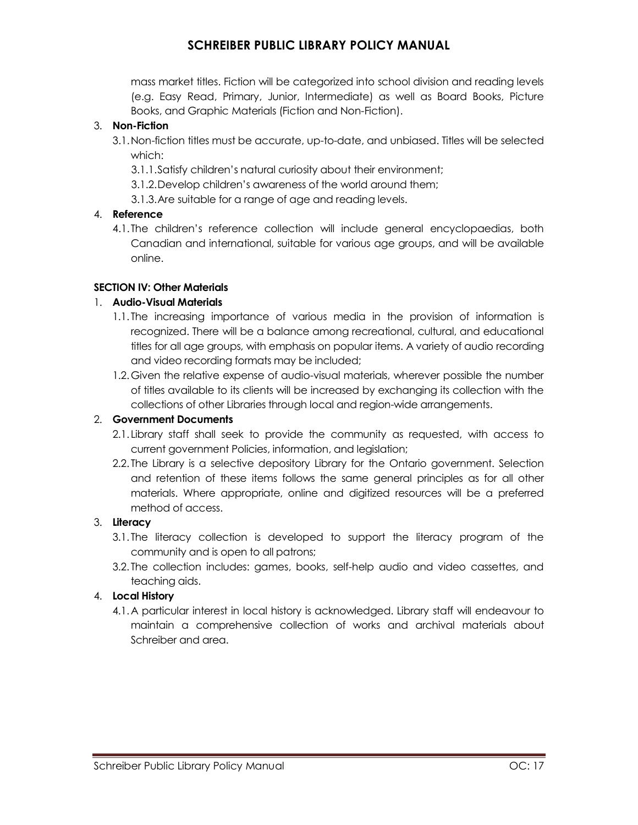mass market titles. Fiction will be categorized into school division and reading levels (e.g. Easy Read, Primary, Junior, Intermediate) as well as Board Books, Picture Books, and Graphic Materials (Fiction and Non-Fiction).

### 3. **Non-Fiction**

- 3.1.Non-fiction titles must be accurate, up-to-date, and unbiased. Titles will be selected which:
	- 3.1.1.Satisfy children's natural curiosity about their environment;
	- 3.1.2.Develop children's awareness of the world around them;
	- 3.1.3.Are suitable for a range of age and reading levels.

### 4. **Reference**

4.1.The children's reference collection will include general encyclopaedias, both Canadian and international, suitable for various age groups, and will be available online.

### **SECTION IV: Other Materials**

### 1. **Audio-Visual Materials**

- 1.1. The increasing importance of various media in the provision of information is recognized. There will be a balance among recreational, cultural, and educational titles for all age groups, with emphasis on popular items. A variety of audio recording and video recording formats may be included;
- 1.2.Given the relative expense of audio-visual materials, wherever possible the number of titles available to its clients will be increased by exchanging its collection with the collections of other Libraries through local and region-wide arrangements.

### 2. **Government Documents**

- 2.1. Library staff shall seek to provide the community as requested, with access to current government Policies, information, and legislation;
- 2.2. The Library is a selective depository Library for the Ontario government. Selection and retention of these items follows the same general principles as for all other materials. Where appropriate, online and digitized resources will be a preferred method of access.

### 3. **Literacy**

- 3.1. The literacy collection is developed to support the literacy program of the community and is open to all patrons;
- 3.2. The collection includes: games, books, self-help audio and video cassettes, and teaching aids.

### 4. **Local History**

4.1.A particular interest in local history is acknowledged. Library staff will endeavour to maintain a comprehensive collection of works and archival materials about Schreiber and area.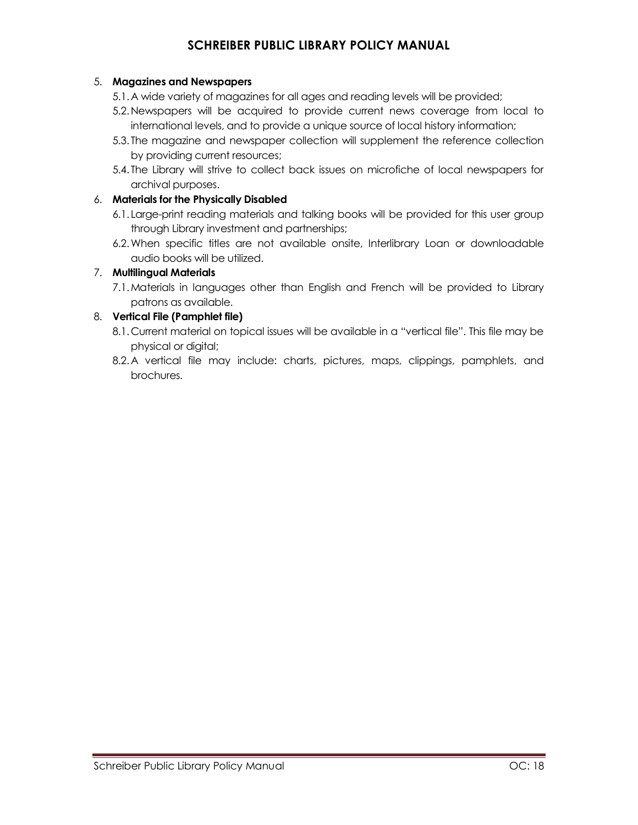### 5. **Magazines and Newspapers**

- 5.1.A wide variety of magazines for all ages and reading levels will be provided;
- 5.2.Newspapers will be acquired to provide current news coverage from local to international levels, and to provide a unique source of local history information;
- 5.3. The magazine and newspaper collection will supplement the reference collection by providing current resources;
- 5.4. The Library will strive to collect back issues on microfiche of local newspapers for archival purposes.

### 6. **Materials for the Physically Disabled**

- 6.1. Large-print reading materials and talking books will be provided for this user group through Library investment and partnerships;
- 6.2.When specific titles are not available onsite, Interlibrary Loan or downloadable audio books will be utilized.

### 7. **Multilingual Materials**

7.1.Materials in languages other than English and French will be provided to Library patrons as available.

### 8. **Vertical File (Pamphlet file)**

- 8.1.Current material on topical issues will be available in a "vertical file". This file may be physical or digital;
- 8.2.A vertical file may include: charts, pictures, maps, clippings, pamphlets, and brochures.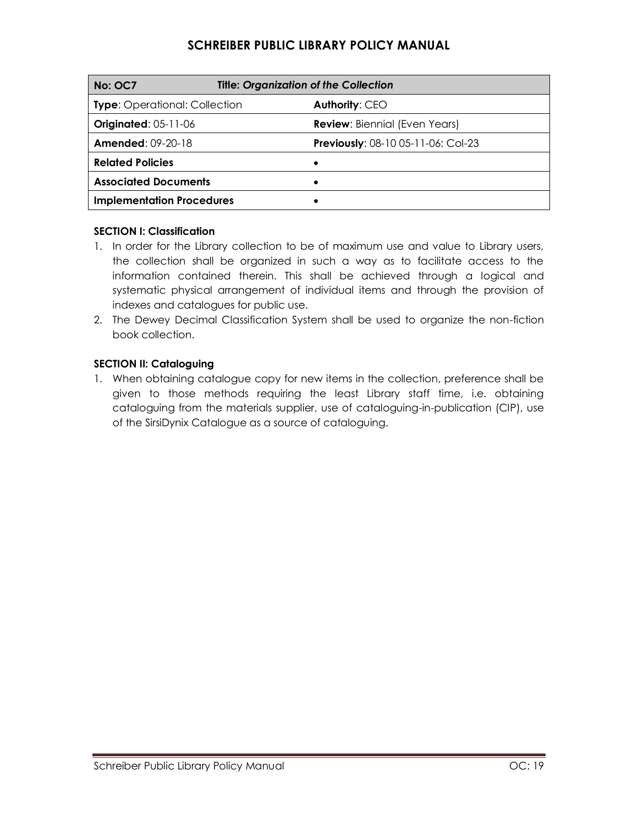| <b>No: OC7</b>                       | <b>Title: Organization of the Collection</b> |  |
|--------------------------------------|----------------------------------------------|--|
| <b>Type:</b> Operational: Collection | Authority: CEO                               |  |
| <b>Originated: 05-11-06</b>          | <b>Review:</b> Biennial (Even Years)         |  |
| <b>Amended: 09-20-18</b>             | <b>Previously: 08-10 05-11-06: Col-23</b>    |  |
| <b>Related Policies</b>              |                                              |  |
| <b>Associated Documents</b>          |                                              |  |
| <b>Implementation Procedures</b>     |                                              |  |

### **SECTION I: Classification**

- 1. In order for the Library collection to be of maximum use and value to Library users, the collection shall be organized in such a way as to facilitate access to the information contained therein. This shall be achieved through a logical and systematic physical arrangement of individual items and through the provision of indexes and catalogues for public use.
- 2. The Dewey Decimal Classification System shall be used to organize the non-fiction book collection.

### **SECTION II: Cataloguing**

1. When obtaining catalogue copy for new items in the collection, preference shall be given to those methods requiring the least Library staff time, i.e. obtaining cataloguing from the materials supplier, use of cataloguing-in-publication (CIP), use of the SirsiDynix Catalogue as a source of cataloguing.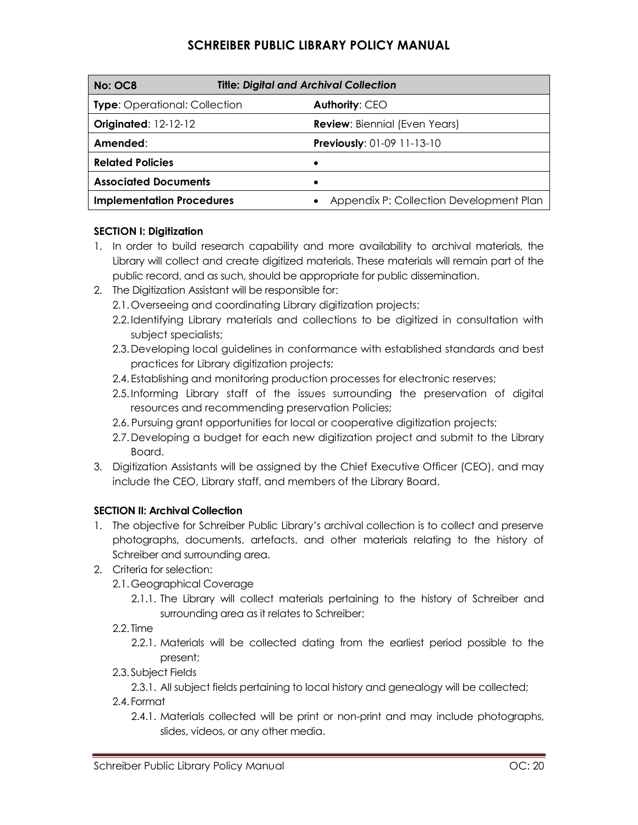| No: OC8                              | <b>Title: Digital and Archival Collection</b> |  |
|--------------------------------------|-----------------------------------------------|--|
| <b>Type:</b> Operational: Collection | Authority: CEO                                |  |
| <b>Originated: 12-12-12</b>          | <b>Review: Biennial (Even Years)</b>          |  |
| Amended:                             | <b>Previously: 01-09 11-13-10</b>             |  |
| <b>Related Policies</b>              |                                               |  |
| <b>Associated Documents</b>          | ٠                                             |  |
| <b>Implementation Procedures</b>     | Appendix P: Collection Development Plan       |  |

### **SECTION I: Digitization**

- 1. In order to build research capability and more availability to archival materials, the Library will collect and create digitized materials. These materials will remain part of the public record, and as such, should be appropriate for public dissemination.
- 2. The Digitization Assistant will be responsible for:
	- 2.1.Overseeing and coordinating Library digitization projects;
	- 2.2.Identifying Library materials and collections to be digitized in consultation with subject specialists;
	- 2.3.Developing local guidelines in conformance with established standards and best practices for Library digitization projects;
	- 2.4.Establishing and monitoring production processes for electronic reserves;
	- 2.5.Informing Library staff of the issues surrounding the preservation of digital resources and recommending preservation Policies;
	- 2.6. Pursuing grant opportunities for local or cooperative digitization projects;
	- 2.7.Developing a budget for each new digitization project and submit to the Library Board.
- 3. Digitization Assistants will be assigned by the Chief Executive Officer (CEO), and may include the CEO, Library staff, and members of the Library Board.

### **SECTION II: Archival Collection**

- 1. The objective for Schreiber Public Library's archival collection is to collect and preserve photographs, documents, artefacts, and other materials relating to the history of Schreiber and surrounding area.
- 2. Criteria for selection:
	- 2.1.Geographical Coverage
		- 2.1.1. The Library will collect materials pertaining to the history of Schreiber and surrounding area as it relates to Schreiber;
	- 2.2. Time
		- 2.2.1. Materials will be collected dating from the earliest period possible to the present;
	- 2.3. Subject Fields
		- 2.3.1. All subject fields pertaining to local history and genealogy will be collected;
	- 2.4. Format
		- 2.4.1. Materials collected will be print or non-print and may include photographs, slides, videos, or any other media.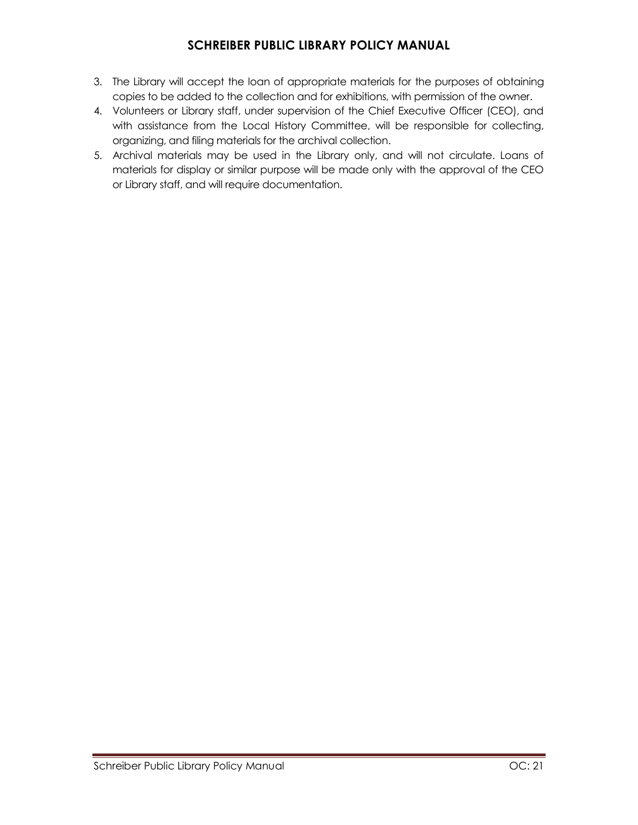- 3. The Library will accept the loan of appropriate materials for the purposes of obtaining copies to be added to the collection and for exhibitions, with permission of the owner.
- 4. Volunteers or Library staff, under supervision of the Chief Executive Officer (CEO), and with assistance from the Local History Committee, will be responsible for collecting, organizing, and filing materials for the archival collection.
- 5. Archival materials may be used in the Library only, and will not circulate. Loans of materials for display or similar purpose will be made only with the approval of the CEO or Library staff, and will require documentation.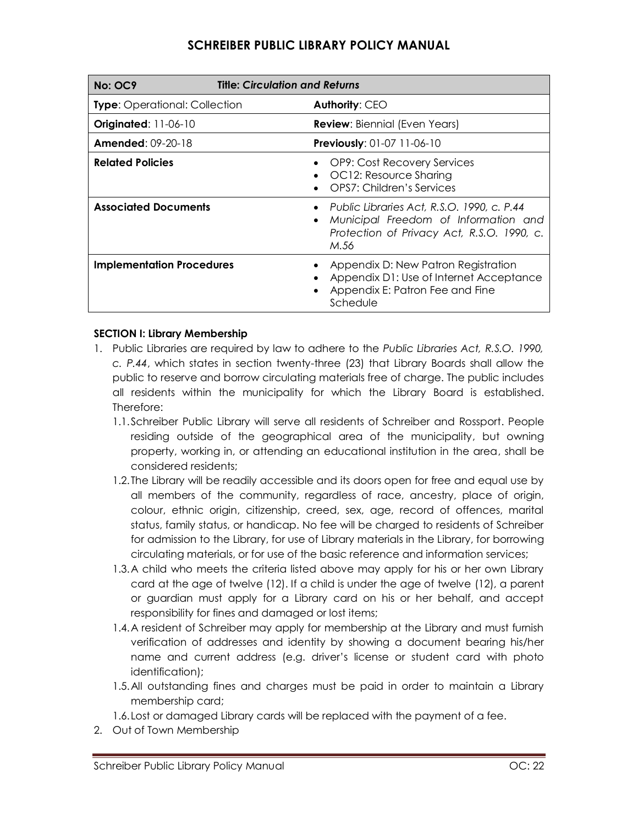| <b>No: OC9</b>                       | <b>Title: Circulation and Returns</b> |                                                                                                                                            |  |
|--------------------------------------|---------------------------------------|--------------------------------------------------------------------------------------------------------------------------------------------|--|
| <b>Type:</b> Operational: Collection |                                       | Authority: CEO                                                                                                                             |  |
| <b>Originated: 11-06-10</b>          |                                       | <b>Review:</b> Biennial (Even Years)                                                                                                       |  |
| <b>Amended: 09-20-18</b>             |                                       | <b>Previously: 01-07 11-06-10</b>                                                                                                          |  |
| <b>Related Policies</b>              |                                       | <b>OP9: Cost Recovery Services</b><br>OC12: Resource Sharing<br>OPS7: Children's Services                                                  |  |
| <b>Associated Documents</b>          |                                       | • Public Libraries Act, R.S.O. 1990, c. P.44<br>Municipal Freedom of Information and<br>Protection of Privacy Act, R.S.O. 1990, c.<br>M.56 |  |
| <b>Implementation Procedures</b>     |                                       | Appendix D: New Patron Registration<br>Appendix D1: Use of Internet Acceptance<br>Appendix E: Patron Fee and Fine<br>Schedule              |  |

#### **SECTION I: Library Membership**

- 1. Public Libraries are required by law to adhere to the *Public Libraries Act, R.S.O. 1990, c. P.44*, which states in section twenty-three (23) that Library Boards shall allow the public to reserve and borrow circulating materials free of charge. The public includes all residents within the municipality for which the Library Board is established. Therefore:
	- 1.1.Schreiber Public Library will serve all residents of Schreiber and Rossport. People residing outside of the geographical area of the municipality, but owning property, working in, or attending an educational institution in the area, shall be considered residents;
	- 1.2.The Library will be readily accessible and its doors open for free and equal use by all members of the community, regardless of race, ancestry, place of origin, colour, ethnic origin, citizenship, creed, sex, age, record of offences, marital status, family status, or handicap. No fee will be charged to residents of Schreiber for admission to the Library, for use of Library materials in the Library, for borrowing circulating materials, or for use of the basic reference and information services;
	- 1.3.A child who meets the criteria listed above may apply for his or her own Library card at the age of twelve (12). If a child is under the age of twelve (12), a parent or guardian must apply for a Library card on his or her behalf, and accept responsibility for fines and damaged or lost items;
	- 1.4.A resident of Schreiber may apply for membership at the Library and must furnish verification of addresses and identity by showing a document bearing his/her name and current address (e.g. driver's license or student card with photo identification);
	- 1.5.All outstanding fines and charges must be paid in order to maintain a Library membership card;
	- 1.6.Lost or damaged Library cards will be replaced with the payment of a fee.
- 2. Out of Town Membership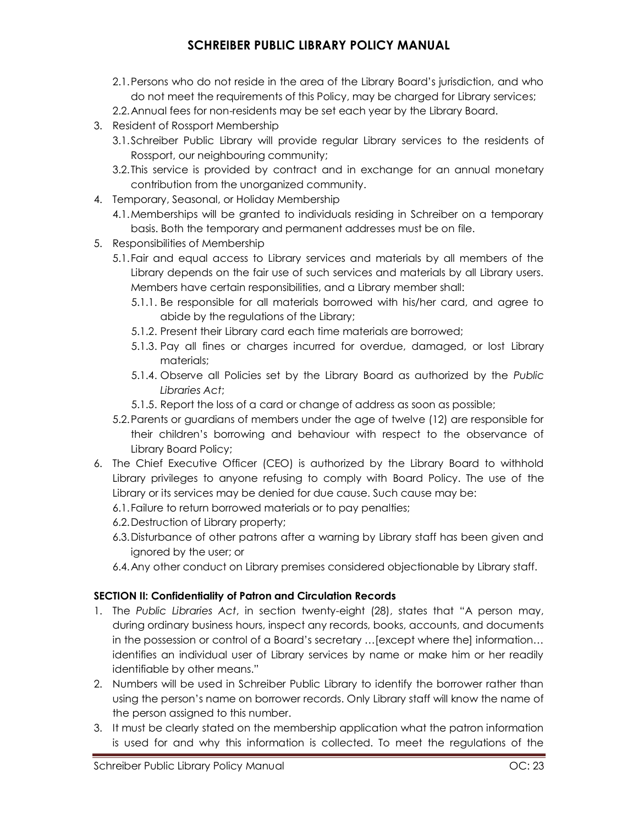- 2.1.Persons who do not reside in the area of the Library Board's jurisdiction, and who do not meet the requirements of this Policy, may be charged for Library services;
- 2.2.Annual fees for non-residents may be set each year by the Library Board.
- 3. Resident of Rossport Membership
	- 3.1.Schreiber Public Library will provide regular Library services to the residents of Rossport, our neighbouring community;
	- 3.2.This service is provided by contract and in exchange for an annual monetary contribution from the unorganized community.
- 4. Temporary, Seasonal, or Holiday Membership
	- 4.1.Memberships will be granted to individuals residing in Schreiber on a temporary basis. Both the temporary and permanent addresses must be on file.
- 5. Responsibilities of Membership
	- 5.1.Fair and equal access to Library services and materials by all members of the Library depends on the fair use of such services and materials by all Library users. Members have certain responsibilities, and a Library member shall:
		- 5.1.1. Be responsible for all materials borrowed with his/her card, and agree to abide by the regulations of the Library;
		- 5.1.2. Present their Library card each time materials are borrowed;
		- 5.1.3. Pay all fines or charges incurred for overdue, damaged, or lost Library materials;
		- 5.1.4. Observe all Policies set by the Library Board as authorized by the *Public Libraries Act*;
		- 5.1.5. Report the loss of a card or change of address as soon as possible;
	- 5.2.Parents or guardians of members under the age of twelve (12) are responsible for their children's borrowing and behaviour with respect to the observance of Library Board Policy;
- 6. The Chief Executive Officer (CEO) is authorized by the Library Board to withhold Library privileges to anyone refusing to comply with Board Policy. The use of the Library or its services may be denied for due cause. Such cause may be:
	- 6.1.Failure to return borrowed materials or to pay penalties;
	- 6.2.Destruction of Library property;
	- 6.3.Disturbance of other patrons after a warning by Library staff has been given and ignored by the user; or
	- 6.4.Any other conduct on Library premises considered objectionable by Library staff.

# **SECTION II: Confidentiality of Patron and Circulation Records**

- 1. The *Public Libraries Act*, in section twenty-eight (28), states that "A person may, during ordinary business hours, inspect any records, books, accounts, and documents in the possession or control of a Board's secretary …[except where the] information… identifies an individual user of Library services by name or make him or her readily identifiable by other means."
- 2. Numbers will be used in Schreiber Public Library to identify the borrower rather than using the person's name on borrower records. Only Library staff will know the name of the person assigned to this number.
- 3. It must be clearly stated on the membership application what the patron information is used for and why this information is collected. To meet the regulations of the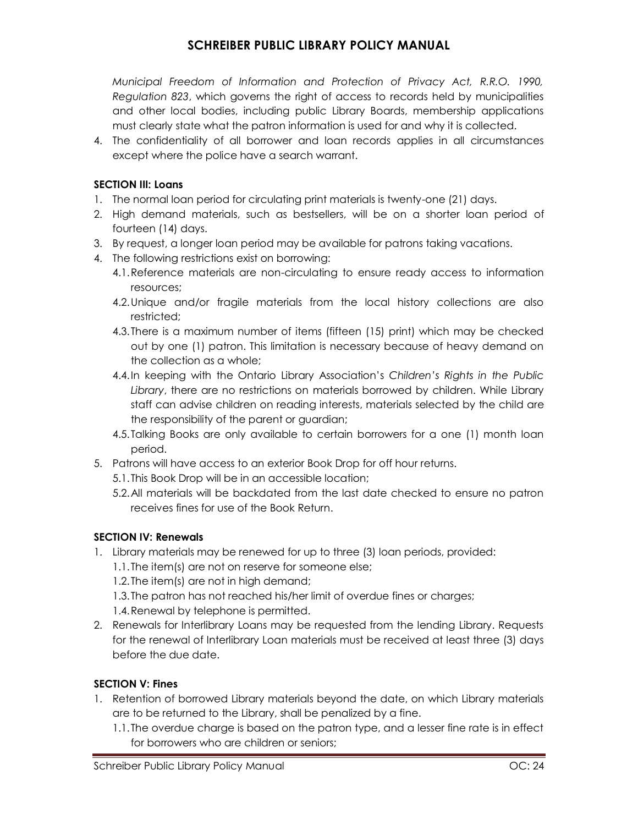*Municipal Freedom of Information and Protection of Privacy Act, R.R.O. 1990, Regulation 823*, which governs the right of access to records held by municipalities and other local bodies, including public Library Boards, membership applications must clearly state what the patron information is used for and why it is collected.

4. The confidentiality of all borrower and loan records applies in all circumstances except where the police have a search warrant.

### **SECTION III: Loans**

- 1. The normal loan period for circulating print materials is twenty-one (21) days.
- 2. High demand materials, such as bestsellers, will be on a shorter loan period of fourteen (14) days.
- 3. By request, a longer loan period may be available for patrons taking vacations.
- 4. The following restrictions exist on borrowing:
	- 4.1.Reference materials are non-circulating to ensure ready access to information resources;
	- 4.2.Unique and/or fragile materials from the local history collections are also restricted;
	- 4.3.There is a maximum number of items (fifteen (15) print) which may be checked out by one (1) patron. This limitation is necessary because of heavy demand on the collection as a whole;
	- 4.4.In keeping with the Ontario Library Association's *Children's Rights in the Public Library*, there are no restrictions on materials borrowed by children. While Library staff can advise children on reading interests, materials selected by the child are the responsibility of the parent or guardian;
	- 4.5.Talking Books are only available to certain borrowers for a one (1) month loan period.
- 5. Patrons will have access to an exterior Book Drop for off hour returns.
	- 5.1.This Book Drop will be in an accessible location;
	- 5.2.All materials will be backdated from the last date checked to ensure no patron receives fines for use of the Book Return.

### **SECTION IV: Renewals**

- 1. Library materials may be renewed for up to three (3) loan periods, provided:
	- 1.1.The item(s) are not on reserve for someone else;
	- 1.2.The item(s) are not in high demand;
	- 1.3.The patron has not reached his/her limit of overdue fines or charges;
	- 1.4.Renewal by telephone is permitted.
- 2. Renewals for Interlibrary Loans may be requested from the lending Library. Requests for the renewal of Interlibrary Loan materials must be received at least three (3) days before the due date.

### **SECTION V: Fines**

- 1. Retention of borrowed Library materials beyond the date, on which Library materials are to be returned to the Library, shall be penalized by a fine.
	- 1.1.The overdue charge is based on the patron type, and a lesser fine rate is in effect for borrowers who are children or seniors;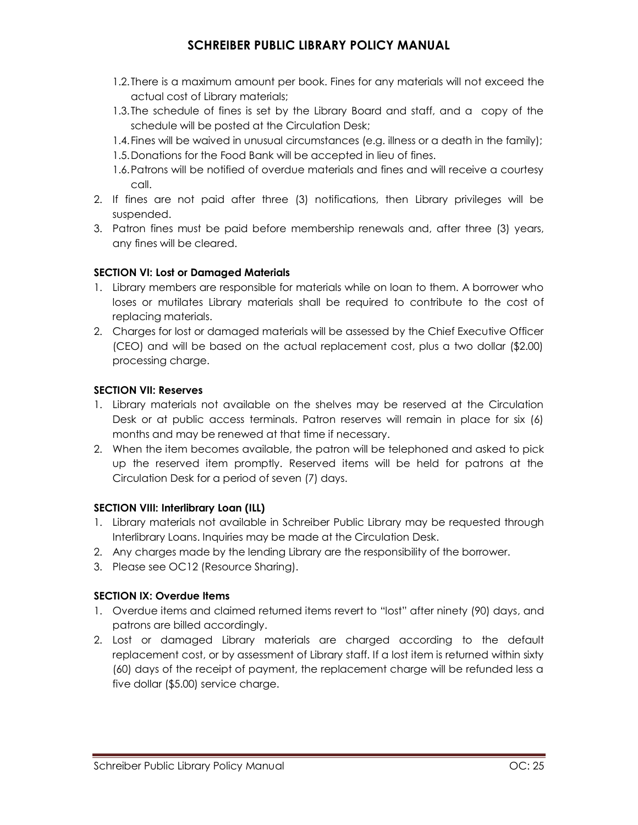- 1.2.There is a maximum amount per book. Fines for any materials will not exceed the actual cost of Library materials;
- 1.3.The schedule of fines is set by the Library Board and staff, and a copy of the schedule will be posted at the Circulation Desk;
- 1.4.Fines will be waived in unusual circumstances (e.g. illness or a death in the family);
- 1.5.Donations for the Food Bank will be accepted in lieu of fines.
- 1.6.Patrons will be notified of overdue materials and fines and will receive a courtesy call.
- 2. If fines are not paid after three (3) notifications, then Library privileges will be suspended.
- 3. Patron fines must be paid before membership renewals and, after three (3) years, any fines will be cleared.

### **SECTION VI: Lost or Damaged Materials**

- 1. Library members are responsible for materials while on loan to them. A borrower who loses or mutilates Library materials shall be required to contribute to the cost of replacing materials.
- 2. Charges for lost or damaged materials will be assessed by the Chief Executive Officer (CEO) and will be based on the actual replacement cost, plus a two dollar (\$2.00) processing charge.

### **SECTION VII: Reserves**

- 1. Library materials not available on the shelves may be reserved at the Circulation Desk or at public access terminals. Patron reserves will remain in place for six (6) months and may be renewed at that time if necessary.
- 2. When the item becomes available, the patron will be telephoned and asked to pick up the reserved item promptly. Reserved items will be held for patrons at the Circulation Desk for a period of seven (7) days.

### **SECTION VIII: Interlibrary Loan (ILL)**

- 1. Library materials not available in Schreiber Public Library may be requested through Interlibrary Loans. Inquiries may be made at the Circulation Desk.
- 2. Any charges made by the lending Library are the responsibility of the borrower.
- 3. Please see OC12 (Resource Sharing).

### **SECTION IX: Overdue Items**

- 1. Overdue items and claimed returned items revert to "lost" after ninety (90) days, and patrons are billed accordingly.
- 2. Lost or damaged Library materials are charged according to the default replacement cost, or by assessment of Library staff. If a lost item is returned within sixty (60) days of the receipt of payment, the replacement charge will be refunded less a five dollar (\$5.00) service charge.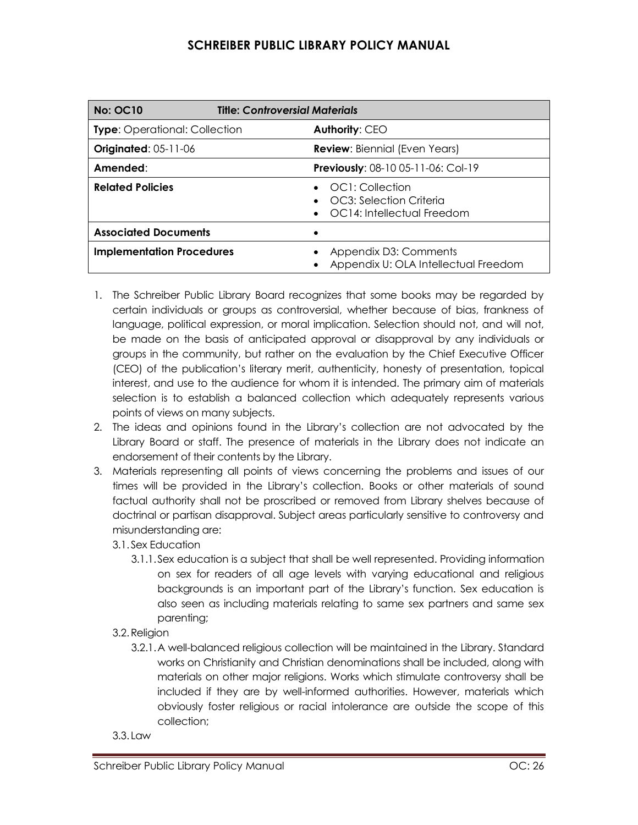| <b>No: OC10</b>                      | <b>Title: Controversial Materials</b>                                                      |  |  |
|--------------------------------------|--------------------------------------------------------------------------------------------|--|--|
| <b>Type:</b> Operational: Collection | <b>Authority: CEO</b>                                                                      |  |  |
| <b>Originated: 05-11-06</b>          | <b>Review:</b> Biennial (Even Years)                                                       |  |  |
| Amended:                             | Previously: 08-10 05-11-06: Col-19                                                         |  |  |
| <b>Related Policies</b>              | OC1: Collection<br>$\bullet$ $\circ$ OC3: Selection Criteria<br>OC14: Intellectual Freedom |  |  |
| <b>Associated Documents</b>          |                                                                                            |  |  |
| <b>Implementation Procedures</b>     | Appendix D3: Comments<br>Appendix U: OLA Intellectual Freedom                              |  |  |

- 1. The Schreiber Public Library Board recognizes that some books may be regarded by certain individuals or groups as controversial, whether because of bias, frankness of language, political expression, or moral implication. Selection should not, and will not, be made on the basis of anticipated approval or disapproval by any individuals or groups in the community, but rather on the evaluation by the Chief Executive Officer (CEO) of the publication's literary merit, authenticity, honesty of presentation, topical interest, and use to the audience for whom it is intended. The primary aim of materials selection is to establish a balanced collection which adequately represents various points of views on many subjects.
- 2. The ideas and opinions found in the Library's collection are not advocated by the Library Board or staff. The presence of materials in the Library does not indicate an endorsement of their contents by the Library.
- 3. Materials representing all points of views concerning the problems and issues of our times will be provided in the Library's collection. Books or other materials of sound factual authority shall not be proscribed or removed from Library shelves because of doctrinal or partisan disapproval. Subject areas particularly sensitive to controversy and misunderstanding are:
	- 3.1. Sex Education
		- 3.1.1.Sex education is a subject that shall be well represented. Providing information on sex for readers of all age levels with varying educational and religious backgrounds is an important part of the Library's function. Sex education is also seen as including materials relating to same sex partners and same sex parenting;
	- 3.2.Religion
		- 3.2.1.A well-balanced religious collection will be maintained in the Library. Standard works on Christianity and Christian denominations shall be included, along with materials on other major religions. Works which stimulate controversy shall be included if they are by well-informed authorities. However, materials which obviously foster religious or racial intolerance are outside the scope of this collection;
	- 3.3. Law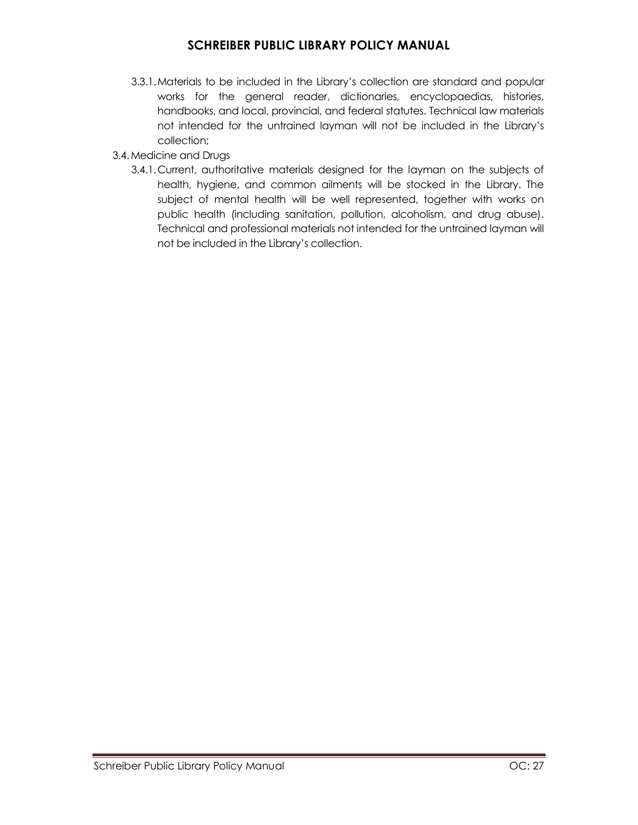- 3.3.1.Materials to be included in the Library's collection are standard and popular works for the general reader, dictionaries, encyclopaedias, histories, handbooks, and local, provincial, and federal statutes. Technical law materials not intended for the untrained layman will not be included in the Library's collection;
- 3.4.Medicine and Drugs
	- 3.4.1.Current, authoritative materials designed for the layman on the subjects of health, hygiene, and common ailments will be stocked in the Library. The subject of mental health will be well represented, together with works on public health (including sanitation, pollution, alcoholism, and drug abuse). Technical and professional materials not intended for the untrained layman will not be included in the Library's collection.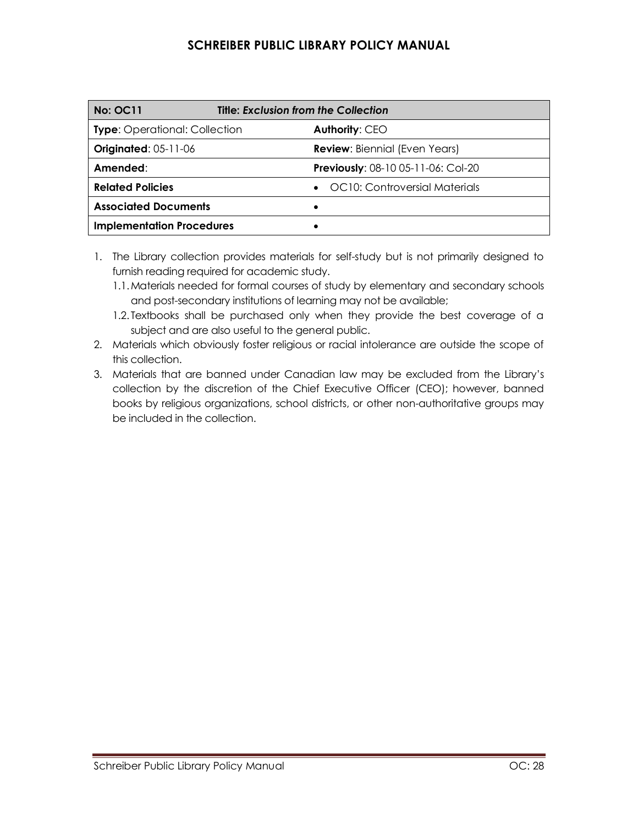| <b>No: OC11</b>                      | <b>Title: Exclusion from the Collection</b> |
|--------------------------------------|---------------------------------------------|
| <b>Type:</b> Operational: Collection | Authority: CEO                              |
| <b>Originated: 05-11-06</b>          | <b>Review:</b> Biennial (Even Years)        |
| Amended:                             | <b>Previously:</b> $08-1005-11-06$ : Col-20 |
| <b>Related Policies</b>              | OC10: Controversial Materials<br>$\bullet$  |
| <b>Associated Documents</b>          |                                             |
| <b>Implementation Procedures</b>     |                                             |

- 1. The Library collection provides materials for self-study but is not primarily designed to furnish reading required for academic study.
	- 1.1.Materials needed for formal courses of study by elementary and secondary schools and post-secondary institutions of learning may not be available;
	- 1.2. Textbooks shall be purchased only when they provide the best coverage of a subject and are also useful to the general public.
- 2. Materials which obviously foster religious or racial intolerance are outside the scope of this collection.
- 3. Materials that are banned under Canadian law may be excluded from the Library's collection by the discretion of the Chief Executive Officer (CEO); however, banned books by religious organizations, school districts, or other non-authoritative groups may be included in the collection.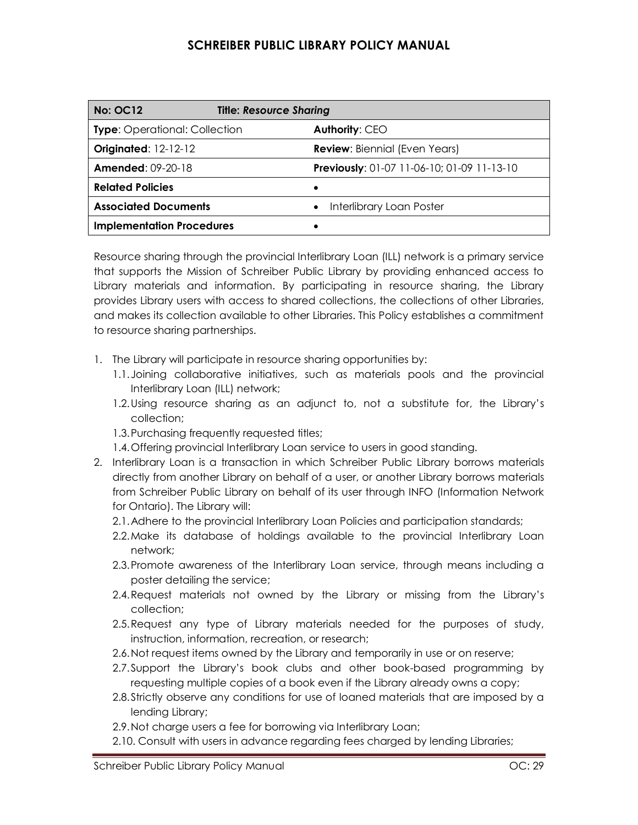| <b>No: OC12</b>                      | <b>Title: Resource Sharing</b> |                                            |
|--------------------------------------|--------------------------------|--------------------------------------------|
| <b>Type:</b> Operational: Collection |                                | <b>Authority: CEO</b>                      |
| <b>Originated: 12-12-12</b>          |                                | <b>Review: Biennial (Even Years)</b>       |
| <b>Amended: 09-20-18</b>             |                                | Previously: 01-07 11-06-10; 01-09 11-13-10 |
| <b>Related Policies</b>              |                                |                                            |
| <b>Associated Documents</b>          |                                | Interlibrary Loan Poster                   |
| <b>Implementation Procedures</b>     |                                |                                            |

Resource sharing through the provincial Interlibrary Loan (ILL) network is a primary service that supports the Mission of Schreiber Public Library by providing enhanced access to Library materials and information. By participating in resource sharing, the Library provides Library users with access to shared collections, the collections of other Libraries, and makes its collection available to other Libraries. This Policy establishes a commitment to resource sharing partnerships.

- 1. The Library will participate in resource sharing opportunities by:
	- 1.1.Joining collaborative initiatives, such as materials pools and the provincial Interlibrary Loan (ILL) network;
	- 1.2.Using resource sharing as an adjunct to, not a substitute for, the Library's collection;
	- 1.3.Purchasing frequently requested titles;
	- 1.4.Offering provincial Interlibrary Loan service to users in good standing.
- 2. Interlibrary Loan is a transaction in which Schreiber Public Library borrows materials directly from another Library on behalf of a user, or another Library borrows materials from Schreiber Public Library on behalf of its user through INFO (Information Network for Ontario). The Library will:
	- 2.1.Adhere to the provincial Interlibrary Loan Policies and participation standards;
	- 2.2.Make its database of holdings available to the provincial Interlibrary Loan network;
	- 2.3.Promote awareness of the Interlibrary Loan service, through means including a poster detailing the service;
	- 2.4.Request materials not owned by the Library or missing from the Library's collection;
	- 2.5.Request any type of Library materials needed for the purposes of study, instruction, information, recreation, or research;
	- 2.6.Not request items owned by the Library and temporarily in use or on reserve;
	- 2.7.Support the Library's book clubs and other book-based programming by requesting multiple copies of a book even if the Library already owns a copy;
	- 2.8.Strictly observe any conditions for use of loaned materials that are imposed by a lending Library;
	- 2.9.Not charge users a fee for borrowing via Interlibrary Loan;
	- 2.10. Consult with users in advance regarding fees charged by lending Libraries;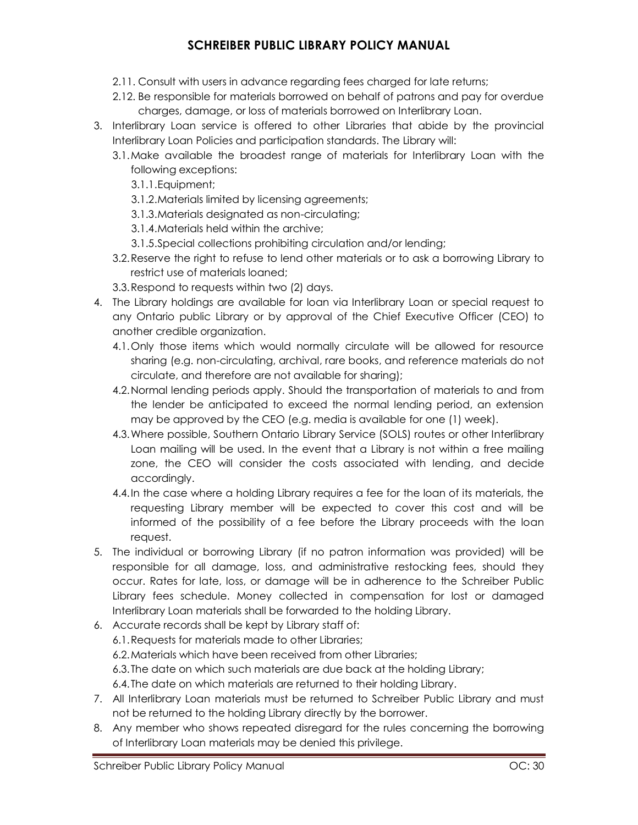- 2.11. Consult with users in advance regarding fees charged for late returns;
- 2.12. Be responsible for materials borrowed on behalf of patrons and pay for overdue charges, damage, or loss of materials borrowed on Interlibrary Loan.
- 3. Interlibrary Loan service is offered to other Libraries that abide by the provincial Interlibrary Loan Policies and participation standards. The Library will:
	- 3.1.Make available the broadest range of materials for Interlibrary Loan with the following exceptions:
		- 3.1.1.Equipment;
		- 3.1.2.Materials limited by licensing agreements;
		- 3.1.3.Materials designated as non-circulating;
		- 3.1.4.Materials held within the archive;
		- 3.1.5.Special collections prohibiting circulation and/or lending;
	- 3.2.Reserve the right to refuse to lend other materials or to ask a borrowing Library to restrict use of materials loaned;
	- 3.3.Respond to requests within two (2) days.
- 4. The Library holdings are available for loan via Interlibrary Loan or special request to any Ontario public Library or by approval of the Chief Executive Officer (CEO) to another credible organization.
	- 4.1.Only those items which would normally circulate will be allowed for resource sharing (e.g. non-circulating, archival, rare books, and reference materials do not circulate, and therefore are not available for sharing);
	- 4.2.Normal lending periods apply. Should the transportation of materials to and from the lender be anticipated to exceed the normal lending period, an extension may be approved by the CEO (e.g. media is available for one (1) week).
	- 4.3.Where possible, Southern Ontario Library Service (SOLS) routes or other Interlibrary Loan mailing will be used. In the event that a Library is not within a free mailing zone, the CEO will consider the costs associated with lending, and decide accordingly.
	- 4.4.In the case where a holding Library requires a fee for the loan of its materials, the requesting Library member will be expected to cover this cost and will be informed of the possibility of a fee before the Library proceeds with the loan request.
- 5. The individual or borrowing Library (if no patron information was provided) will be responsible for all damage, loss, and administrative restocking fees, should they occur. Rates for late, loss, or damage will be in adherence to the Schreiber Public Library fees schedule. Money collected in compensation for lost or damaged Interlibrary Loan materials shall be forwarded to the holding Library.
- 6. Accurate records shall be kept by Library staff of: 6.1.Requests for materials made to other Libraries; 6.2.Materials which have been received from other Libraries; 6.3.The date on which such materials are due back at the holding Library; 6.4.The date on which materials are returned to their holding Library.
- 7. All Interlibrary Loan materials must be returned to Schreiber Public Library and must not be returned to the holding Library directly by the borrower.
- 8. Any member who shows repeated disregard for the rules concerning the borrowing of Interlibrary Loan materials may be denied this privilege.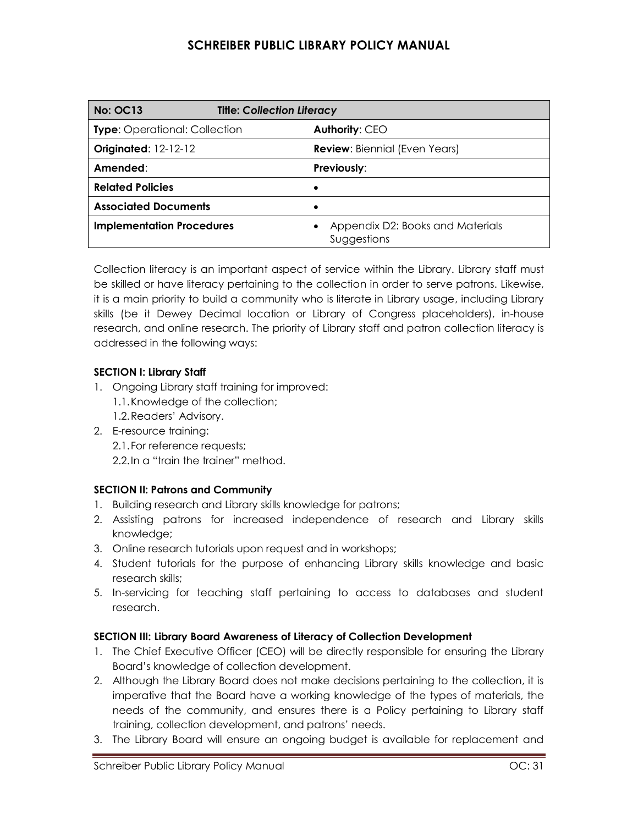| <b>No: OC13</b>                      | <b>Title: Collection Literacy</b>               |
|--------------------------------------|-------------------------------------------------|
| <b>Type:</b> Operational: Collection | Authority: CEO                                  |
| <b>Originated: 12-12-12</b>          | <b>Review:</b> Biennial (Even Years)            |
| Amended:                             | <b>Previously:</b>                              |
| <b>Related Policies</b>              |                                                 |
| <b>Associated Documents</b>          |                                                 |
| <b>Implementation Procedures</b>     | Appendix D2: Books and Materials<br>Suggestions |

Collection literacy is an important aspect of service within the Library. Library staff must be skilled or have literacy pertaining to the collection in order to serve patrons. Likewise, it is a main priority to build a community who is literate in Library usage, including Library skills (be it Dewey Decimal location or Library of Congress placeholders), in-house research, and online research. The priority of Library staff and patron collection literacy is addressed in the following ways:

### **SECTION I: Library Staff**

- 1. Ongoing Library staff training for improved: 1.1.Knowledge of the collection; 1.2.Readers' Advisory.
- 2. E-resource training:

2.1.For reference requests; 2.2. In a "train the trainer" method.

### **SECTION II: Patrons and Community**

- 1. Building research and Library skills knowledge for patrons;
- 2. Assisting patrons for increased independence of research and Library skills knowledge;
- 3. Online research tutorials upon request and in workshops;
- 4. Student tutorials for the purpose of enhancing Library skills knowledge and basic research skills;
- 5. In-servicing for teaching staff pertaining to access to databases and student research.

### **SECTION III: Library Board Awareness of Literacy of Collection Development**

- 1. The Chief Executive Officer (CEO) will be directly responsible for ensuring the Library Board's knowledge of collection development.
- 2. Although the Library Board does not make decisions pertaining to the collection, it is imperative that the Board have a working knowledge of the types of materials, the needs of the community, and ensures there is a Policy pertaining to Library staff training, collection development, and patrons' needs.
- 3. The Library Board will ensure an ongoing budget is available for replacement and